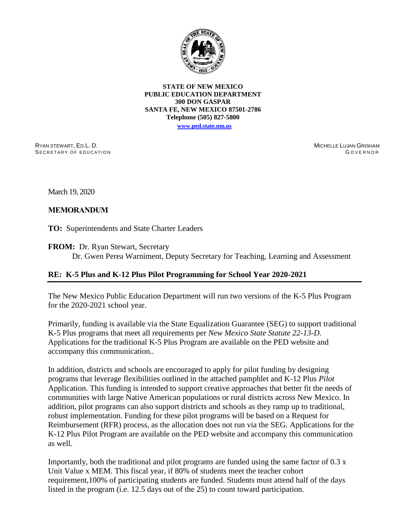

**STATE OF NEW MEXICO PUBLIC EDUCATION DEPARTMENT 300 DON GASPAR SANTA FE, NEW MEXICO 87501-2786 Telephone (505) 827-5800**

**[www.ped.state.nm.us](http://webnew.ped.state.nm.us/)**

RYAN STEWART, ED.L. D. SECRETARY OF EDUCATION MICHELLE LUJAN GRISHAM G O V E R N O R

March 19, 2020

## **MEMORANDUM**

**TO:** Superintendents and State Charter Leaders

**FROM:** Dr. Ryan Stewart, Secretary Dr. Gwen Perea Warniment, Deputy Secretary for Teaching, Learning and Assessment

## **RE: K-5 Plus and K-12 Plus Pilot Programming for School Year 2020-2021**

The New Mexico Public Education Department will run two versions of the K-5 Plus Program for the 2020-2021 school year.

Primarily, funding is available via the State Equalization Guarantee (SEG) to support traditional K-5 Plus programs that meet all requirements per *New Mexico State Statute 22-13-D.* Applications for the traditional K-5 Plus Program are available on the PED website and accompany this communication..

In addition, districts and schools are encouraged to apply for pilot funding by designing programs that leverage flexibilities outlined in the attached pamphlet and K-12 Plus *Pilot* Application. This funding is intended to support creative approaches that better fit the needs of communities with large Native American populations or rural districts across New Mexico. In addition, pilot programs can also support districts and schools as they ramp up to traditional, robust implementation. Funding for these pilot programs will be based on a Request for Reimbursement (RFR) process, as the allocation does not run via the SEG. Applications for the K-12 Plus Pilot Program are available on the PED website and accompany this communication as well.

Importantly, both the traditional and pilot programs are funded using the same factor of 0.3 x Unit Value x MEM. This fiscal year, if 80% of students meet the teacher cohort requirement,100% of participating students are funded. Students must attend half of the days listed in the program (i.e. 12.5 days out of the 25) to count toward participation.